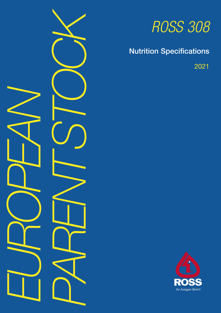

# *ROSS 308*

# Nutrition Specifications

2021

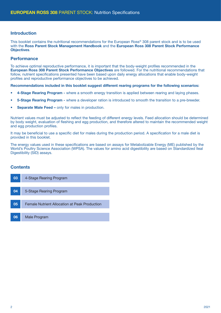#### Introduction

This booklet contains the nutritional recommendations for the European Ross® 308 parent stock and is to be used with the Ross Parent Stock Management Handbook and the European Ross 308 Parent Stock Performance Objectives.

#### **Performance**

To achieve optimal reproductive performance, it is important that the body-weight profiles recommended in the European Ross 308 Parent Stock Performance Objectives are followed. For the nutritional recommendations that follow, nutrient specifications presented have been based upon daily energy allocations that enable body-weight profiles and reproductive performance objectives to be achieved.

Recommendations included in this booklet suggest different rearing programs for the following scenarios:

- 4-Stage Rearing Program where a smooth energy transition is applied between rearing and laying phases.
- 5-Stage Rearing Program where a developer ration is introduced to smooth the transition to a pre-breeder.
- Separate Male Feed only for males in production.

Nutrient values must be adjusted to reflect the feeding of different energy levels. Feed allocation should be determined by body weight, evaluation of fleshing and egg production, and therefore altered to maintain the recommended weight and egg production profiles.

It may be beneficial to use a specific diet for males during the production period. A specification for a male diet is provided in this booklet.

The energy values used in these specifications are based on assays for Metabolizable Energy (ME) published by the World's Poultry Science Association (WPSA). The values for amino acid digestibility are based on Standardized Ileal Digestibility (SID) assays.

#### **Contents**

| 03 | 4-Stage Rearing Program                       |
|----|-----------------------------------------------|
|    |                                               |
| 04 | 5-Stage Rearing Program                       |
|    |                                               |
| 05 | Female Nutrient Allocation at Peak Production |
|    |                                               |
| 06 | <b>Male Program</b>                           |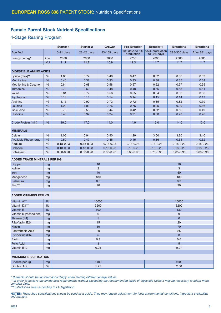#### Female Parent Stock Nutrient Specifications

#### 4-Stage Rearing Program

|                                    |                              | <b>Starter 1</b><br><b>Starter 2</b> |               | <b>Pre-Breeder</b><br><b>Grower</b> |                | <b>Breeder 1</b>                                     | <b>Breeder 2</b> | <b>Breeder 3</b> |  |
|------------------------------------|------------------------------|--------------------------------------|---------------|-------------------------------------|----------------|------------------------------------------------------|------------------|------------------|--|
| Age Fed                            |                              | $0-21$ days                          | 22-42 days    | 43-105 days                         | production     | 106 days to 5% $\mid$ > 5% production<br>to 224 days | 225-350 days     | After 351 days   |  |
| Energy per kg*                     | kcal                         | 2800                                 | 2800          | 2600                                | 2700           | 2800                                                 | 2800             | 2800             |  |
|                                    | <b>MJ</b>                    | 11.7                                 | 11.7          | 10.9                                | 11.3           | 11.7                                                 | 11.7             | 11.7             |  |
|                                    |                              |                                      |               |                                     |                |                                                      |                  |                  |  |
| <b>DIGESTIBLE AMINO ACIDS</b>      |                              |                                      |               |                                     |                |                                                      |                  |                  |  |
| Lysine (max)**                     | $\%$                         | 1.00                                 | 0.72          | 0.48                                | 0.47           | 0.62                                                 | 0.56             | 0.52             |  |
| Methionine                         | $\%$                         | 0.46                                 | 0.37          | 0.33                                | 0.33           | 0.38                                                 | 0.35             | 0.34             |  |
| Methionine & Cystine               | %                            | 0.84                                 | 0.68          | 0.58                                | 0.57           | 0.62                                                 | 0.57             | 0.55             |  |
| Threonine                          | %                            | 0.70                                 | 0.60          | 0.48                                | 0.48           | 0.55                                                 | 0.53             | 0.51             |  |
| Valine                             | %                            | 0.81                                 | 0.72          | 0.56                                | 0.55           | 0.64                                                 | 0.60             | 0.56             |  |
| Tryptophan                         | %                            | 0.18                                 | 0.18          | 0.14                                | 0.14           | 0.15                                                 | 0.14             | 0.13             |  |
| Arginine                           | %                            | 1.15                                 | 0.92          | 0.72                                | 0.72           | 0.85                                                 | 0.82             | 0.79             |  |
| Leucine                            | %                            | 1.20                                 | 1.03          | 0.76                                | 0.76           | 0.95                                                 | 0.90             | 0.86             |  |
| Isoleucine                         | $\%$                         | 0.70                                 | 0.58          | 0.44                                | 0.42           | 0.52                                                 | 0.50             | 0.49             |  |
| <b>Histidine</b>                   | $\%$                         | 0.43                                 | 0.32          | 0.24                                | 0.21           | 0.30                                                 | 0.28             | 0.26             |  |
| Crude Protein (min)                | %                            | 19.0                                 | 17.0          | 14.0                                | 14.0           | 15.0                                                 | 14.0             | 13.0             |  |
| <b>MINERALS</b>                    |                              |                                      |               |                                     |                |                                                      |                  |                  |  |
| Calcium                            | %                            | 1.05                                 | 0.94          | 0.90                                | 1.20           | 3.00                                                 | 3.20             | 3.40             |  |
| Available Phosphorus               | $\%$                         | 0.50                                 | 0.47          | 0.45                                | 0.45           | 0.36                                                 | 0.34             | 0.32             |  |
| Sodium                             | %                            | $0.18 - 0.23$                        | $0.18 - 0.23$ | $0.18 - 0.23$                       | $0.18 - 0.23$  | $0.18 - 0.23$                                        | $0.18 - 0.23$    | $0.18 - 0.23$    |  |
| Chloride                           | %                            | $0.18 - 0.23$                        | $0.18 - 0.23$ | $0.18 - 0.23$                       | $0.18 - 0.23$  | $0.18 - 0.23$                                        | $0.18 - 0.23$    | $0.18 - 0.23$    |  |
| Potassium                          | %                            | $0.60 - 0.90$                        | $0.60 - 0.90$ | $0.60 - 0.90$                       | $0.60 - 0.90$  | $0.70 - 0.90$                                        | $0.65 - 0.90$    | $0.60 - 0.90$    |  |
| <b>ADDED TRACE MINERALS PER KG</b> |                              |                                      |               |                                     |                |                                                      |                  |                  |  |
| Copper                             | mg                           |                                      |               | 16                                  |                |                                                      | 16               |                  |  |
| lodine                             | mg                           |                                      |               | $\overline{2}$                      |                | 3                                                    |                  |                  |  |
| Iron                               | mg                           |                                      |               | 40                                  |                | 50                                                   |                  |                  |  |
| Manganese                          | mg                           |                                      |               | 130                                 |                | 130                                                  |                  |                  |  |
| Selenium                           | mg                           |                                      |               | 0.3                                 |                | 0.3                                                  |                  |                  |  |
| Zinc***                            | mg                           |                                      | 90            |                                     |                | 90                                                   |                  |                  |  |
|                                    |                              |                                      |               |                                     |                |                                                      |                  |                  |  |
| <b>ADDED VITAMINS PER KG</b>       |                              |                                      |               |                                     |                |                                                      |                  |                  |  |
| Vitamin A***<br>IU                 |                              |                                      |               | 10000                               | 10000          |                                                      |                  |                  |  |
| Vitamin D3***                      | $\sf{IU}$                    |                                      |               | 3200                                |                |                                                      | 3200             |                  |  |
| Vitamin E                          | IU                           |                                      |               | 100                                 |                | 130                                                  |                  |                  |  |
| Vitamin K (Menadione)              | mg                           |                                      |               | 6                                   |                | $9\,$                                                |                  |                  |  |
| Thiamin (B1)                       | mg                           |                                      |               | 5                                   |                | 6                                                    |                  |                  |  |
| Riboflavin (B2)                    | mg                           |                                      | 15            |                                     |                | 20                                                   |                  |                  |  |
| Niacin                             | mg                           |                                      |               | 50                                  | 70             |                                                      |                  |                  |  |
| Pantothenic Acid                   | mg                           |                                      |               | 20                                  | 25             |                                                      |                  |                  |  |
| Pyridoxine (B6)                    | mg                           |                                      |               | $\overline{5}$                      | 8              |                                                      |                  |                  |  |
| <b>Biotin</b>                      | mg                           |                                      |               | 0.3                                 | 0.6            |                                                      |                  |                  |  |
| <b>Folic Acid</b>                  | mg                           |                                      |               | 3                                   | $5\phantom{.}$ |                                                      |                  |                  |  |
| Vitamin B12                        | mg                           |                                      | 0.05          |                                     |                | 0.07                                                 |                  |                  |  |
|                                    |                              |                                      |               |                                     |                |                                                      |                  |                  |  |
|                                    | <b>MINIMUM SPECIFICATION</b> |                                      |               |                                     |                |                                                      |                  |                  |  |
| Choline per kg                     | mg                           |                                      |               | 1400                                |                |                                                      | 1600             |                  |  |
| Linoleic Acid                      | $\%$                         | 1.25                                 |               |                                     |                | 2.00                                                 |                  |                  |  |

*\* Nutrients should be factored accordingly when feeding different energy values.* 

*\*\* In order to achieve the amino acid requirements without exceeding the recommended levels of digestible lysine it may be necessary to adopt more complex diets.*

*\*\*\* Established limits according to EU legislation.*

NOTES: *These feed specifications should be used as a guide. They may require adjustment for local environmental conditions, ingredient availability, and markets.*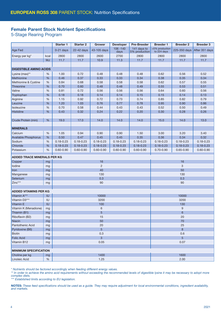#### Female Parent Stock Nutrient Specifications

5-Stage Rearing Program

|                                    |           | <b>Starter 1</b> | <b>Starter 2</b> | <b>Grower</b>  | <b>Developer</b>    | <b>Pre-Breeder</b>           | <b>Breeder 1</b>              | <b>Breeder 2</b> | <b>Breeder 3</b> |  |
|------------------------------------|-----------|------------------|------------------|----------------|---------------------|------------------------------|-------------------------------|------------------|------------------|--|
| Age Fed                            |           | $0-21$ days      | 22-42 days       | 43-105 days    | $106 - 140$<br>days | 141 days to<br>5% production | >5% production<br>to 224 days | 225-350 days     | After 351 days   |  |
| Energy per kg*                     | kcal      | 2800             | 2800             | 2600           | 2700                | 2800                         | 2800                          | 2800             | 2800             |  |
|                                    | <b>MJ</b> | 11.7             | 11.7             | 10.9           | 11.3                | 11.7                         | 11.7                          | 11.7             | 11.7             |  |
|                                    |           |                  |                  |                |                     |                              |                               |                  |                  |  |
| <b>DIGESTIBLE AMINO ACIDS</b>      |           |                  |                  |                |                     |                              |                               |                  |                  |  |
| Lysine (max)**                     | $\%$      | 1.00             | 0.72             | 0.48           | 0.48                | 0.48                         | 0.62                          | 0.56             | 0.52             |  |
| Methionine                         | %         | 0.46             | 0.37             | 0.33           | 0.33                | 0.34                         | 0.38                          | 0.35             | 0.34             |  |
| Methionine & Cystine               | $\%$      | 0.84             | 0.68             | 0.58           | 0.58                | 0.58                         | 0.62                          | 0.57             | 0.55             |  |
| <b>Threonine</b>                   | %         | 0.70             | 0.60             | 0.48           | 0.48                | 0.49                         | 0.55                          | 0.53             | 0.51             |  |
| Valine                             | %         | 0.81             | 0.72             | 0.56           | 0.56                | 0.56                         | 0.64                          | 0.60             | 0.56             |  |
| Tryptophan                         | %         | 0.18             | 0.18             | 0.14           | 0.14                | 0.15                         | 0.15                          | 0.14             | 0.13             |  |
| Arginine                           | %         | 1.15             | 0.92             | 0.72           | 0.73                | 0.74                         | 0.85                          | 0.82             | 0.79             |  |
| Leucine                            | %         | 1.20             | 1.03             | 0.76           | 0.77                | 0.78                         | 0.95                          | 0.90             | 0.86             |  |
| Isoleucine                         | %         | 0.70             | 0.58             | 0.44           | 0.43                | 0.43                         | 0.52                          | 0.50             | 0.49             |  |
| Histidine                          | %         | 0.43             | 0.32             | 0.24           | 0.22                | 0.20                         | 0.30                          | 0.28             | 0.26             |  |
|                                    |           |                  |                  |                |                     |                              |                               |                  |                  |  |
| Crude Protein (min)                | %         | 19.0             | 17.0             | 14.0           | 14.0                | 14.0                         | 15.0                          | 14.0             | 13.0             |  |
| <b>MINERALS</b>                    |           |                  |                  |                |                     |                              |                               |                  |                  |  |
| Calcium                            | $\%$      | 1.05             | 0.94             | 0.90           | 0.90                | 1.50                         | 3.00                          | 3.20             | 3.40             |  |
| Available Phosphorus               | %         | 0.50             | 0.47             | 0.45           | 0.45                | 0.35                         | 0.36                          | 0.34             | 0.32             |  |
| Sodium                             | %         | $0.18 - 0.23$    | $0.18 - 0.23$    | $0.18 - 0.23$  | $0.18 - 0.23$       | $0.18 - 0.23$                | $0.18 - 0.23$                 | $0.18 - 0.23$    | $0.18 - 0.23$    |  |
| Chloride                           | %         | $0.18 - 0.23$    | $0.18 - 0.23$    | $0.18 - 0.23$  | $0.18 - 0.23$       | $0.18 - 0.23$                | $0.18 - 0.23$                 | $0.18 - 0.23$    | $0.18 - 0.23$    |  |
| Potassium                          | %         | $0.60 - 0.90$    | $0.60 - 0.90$    | $0.60 - 0.90$  | $0.60 - 0.90$       | $0.60 - 0.90$                | $0.70 - 0.90$                 | $0.65 - 0.90$    | $0.60 - 0.90$    |  |
| <b>ADDED TRACE MINERALS PER KG</b> |           |                  |                  |                |                     |                              |                               |                  |                  |  |
| Copper                             | mg        |                  |                  | 16             |                     |                              |                               | 16               |                  |  |
| lodine                             | mg        |                  |                  | $\overline{2}$ |                     |                              | 3                             |                  |                  |  |
| Iron                               | mg        |                  |                  | 40             |                     |                              | 50                            |                  |                  |  |
| Manganese                          | mg        |                  |                  | 130            |                     |                              | 130                           |                  |                  |  |
| Selenium                           | mg        |                  |                  | 0.3            |                     |                              | 0.3                           |                  |                  |  |
| Zinc***                            | mg        |                  |                  | 90             |                     |                              | 90                            |                  |                  |  |
|                                    |           |                  |                  |                |                     |                              |                               |                  |                  |  |
| <b>ADDED VITAMINS PER KG</b>       |           |                  |                  |                |                     |                              |                               |                  |                  |  |
| Vitamin A***                       | IU        |                  |                  | 10000          |                     |                              |                               | 10000            |                  |  |
| Vitamin D3***                      | IU        |                  |                  | 3200           |                     |                              |                               | 3200             |                  |  |
| Vitamin E                          | IU        |                  |                  | 100            |                     |                              |                               | 130              |                  |  |
| Vitamin K (Menadione)              | mg        |                  |                  | 6              |                     |                              |                               | 9                |                  |  |
| Thiamin (B1)                       | mg        |                  |                  | 5              |                     |                              |                               | $6\phantom{1}$   |                  |  |
| Riboflavin (B2)                    | mg        |                  |                  | 15             |                     |                              | 20                            |                  |                  |  |
| Niacin                             | mg        |                  | 50               |                |                     |                              | 70                            |                  |                  |  |
| Pantothenic Acid                   | mg        |                  | 20               |                |                     |                              |                               | 25               |                  |  |
| Pyridoxine (B6)                    | mg        | $5\phantom{1}$   |                  |                |                     |                              | 8                             |                  |                  |  |
| <b>Biotin</b>                      | mg        | 0.3              |                  |                |                     |                              | 0.6                           |                  |                  |  |
| <b>Folic Acid</b>                  | mg        |                  |                  | 3              |                     |                              | 5                             |                  |                  |  |
| Vitamin B12                        | mg        |                  |                  | 0.05           |                     |                              | 0.07                          |                  |                  |  |
| <b>MINIMUM SPECIFICATION</b>       |           |                  |                  |                |                     |                              |                               |                  |                  |  |
|                                    |           |                  |                  |                |                     |                              |                               |                  |                  |  |
| Choline per kg                     | mg        |                  |                  | 1400           |                     |                              |                               | 1600             |                  |  |
| Linoleic Acid                      | $\%$      |                  |                  | 1.25           |                     |                              |                               | 2.00             |                  |  |

*\* Nutrients should be factored accordingly when feeding different energy values.* 

\*\* In order to achieve the amino acid requirements without exceeding the recommended levels of digestible lysine it may be necessary to adopt more *complex diets.*

*\*\*\* Established limits according to EU legislation.*

NOTES: *These feed specifications should be used as a guide. They may require adjustment for local environmental conditions, ingredient availability, and markets.*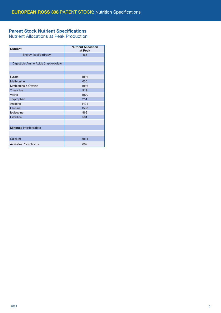### Parent Stock Nutrient Specifications

Nutrient Allocations at Peak Production

| <b>Nutrient</b>                      | <b>Nutrient Allocation</b><br>at Peak |
|--------------------------------------|---------------------------------------|
| Energy (kcal/bird/day)               | 468                                   |
|                                      |                                       |
| Digestible Amino Acids (mg/bird/day) |                                       |
|                                      |                                       |
|                                      |                                       |
| Lysine                               | 1036                                  |
| Methionine                           | 635                                   |
| Methionine & Cystine                 | 1036                                  |
| Threonine                            | 919                                   |
| Valine                               | 1070                                  |
| Tryptophan                           | 251                                   |
| Arginine                             | 1421                                  |
| Leucine                              | 1588                                  |
| Isoleucine                           | 869                                   |
| <b>Histidine</b>                     | 501                                   |
|                                      |                                       |
| Minerals (mg/bird/day)               |                                       |
|                                      |                                       |
| Calcium                              | 5014                                  |
| Available Phosphorus                 | 602                                   |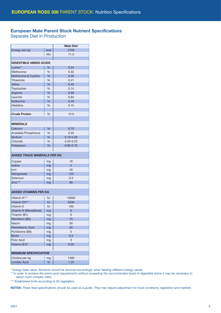# European Male Parent Stock Nutrient Specifications

Separate Diet in Production

|                                    |      | <b>Male Diet</b> |  |  |  |  |  |
|------------------------------------|------|------------------|--|--|--|--|--|
| Energy per kg <sup>*</sup>         | kcal | 2700             |  |  |  |  |  |
|                                    | MJ   | 11.3             |  |  |  |  |  |
|                                    |      |                  |  |  |  |  |  |
| <b>DIGESTIBLE AMINO ACIDS</b>      |      |                  |  |  |  |  |  |
| Lysine**                           | %    | 0.34             |  |  |  |  |  |
| Methionine                         | %    | 0.32             |  |  |  |  |  |
| Methionine & Cystine               | %    | 0.56             |  |  |  |  |  |
| Threonine                          | %    | 0.41             |  |  |  |  |  |
| Valine                             | %    | 0.45             |  |  |  |  |  |
| Tryptophan                         | %    | 0.14             |  |  |  |  |  |
| Arginine                           | %    | 0.66             |  |  |  |  |  |
| Leucine                            | %    | 0.64             |  |  |  |  |  |
| Isoleucine                         | %    | 0.40             |  |  |  |  |  |
| Histidine                          | %    | 0.15             |  |  |  |  |  |
|                                    |      |                  |  |  |  |  |  |
| <b>Crude Protein</b>               | %    | 12.0             |  |  |  |  |  |
|                                    |      |                  |  |  |  |  |  |
|                                    |      |                  |  |  |  |  |  |
| <b>MINERALS</b>                    |      |                  |  |  |  |  |  |
| Calcium                            | %    | 0.70             |  |  |  |  |  |
| Available Phosphorus               | %    | 0.35             |  |  |  |  |  |
| Sodium                             | %    | $0.18 - 0.20$    |  |  |  |  |  |
| Chloride                           | %    | $0.20 - 0.23$    |  |  |  |  |  |
| Potassium                          | %    | $0.60 - 0.75$    |  |  |  |  |  |
|                                    |      |                  |  |  |  |  |  |
| <b>ADDED TRACE MINERALS PER KG</b> |      |                  |  |  |  |  |  |
| Copper                             | mg   | 16               |  |  |  |  |  |
| lodine                             | mg   | $\overline{2}$   |  |  |  |  |  |
| Iron                               | mg   | 40               |  |  |  |  |  |
| Manganese                          | mg   | 120              |  |  |  |  |  |
| Selenium                           | mg   | 0.3              |  |  |  |  |  |
| Zinc***                            | mg   | 90               |  |  |  |  |  |
|                                    |      |                  |  |  |  |  |  |
|                                    |      |                  |  |  |  |  |  |
| <b>ADDED VITAMINS PER KG</b>       |      |                  |  |  |  |  |  |
| Vitamin A***                       | IU   | 10000            |  |  |  |  |  |
| Vitamin D <sub>3</sub> ***         | IU   | 3200             |  |  |  |  |  |
| Vitamin E                          | IU   | 100              |  |  |  |  |  |
| Vitamin K (Menadione)              | mg   | $6\overline{6}$  |  |  |  |  |  |
| Thiamin (B1)                       | mg   | 5                |  |  |  |  |  |
| Riboflavin (B2)                    | mg   | 15               |  |  |  |  |  |
| Niacin                             | mg   | 50               |  |  |  |  |  |
| <b>Pantothenic Acid</b>            | mg   | 20               |  |  |  |  |  |
| Pyridoxine (B6)                    | mg   | 5                |  |  |  |  |  |
| <b>Biotin</b>                      | mg   | 0.3              |  |  |  |  |  |
| <b>Folic Acid</b>                  | mg   | 3                |  |  |  |  |  |
| Vitamin B12                        | mg   | 0.05             |  |  |  |  |  |
|                                    |      |                  |  |  |  |  |  |
| <b>MINIMUM SPECIFICATION</b>       |      |                  |  |  |  |  |  |
| Choline per kg                     | mg   | 1400             |  |  |  |  |  |
| Linoleic Acid                      | %    | 1.25             |  |  |  |  |  |
|                                    |      |                  |  |  |  |  |  |

*\* Energy base value. Nutrients should be factored accordingly when feeding different energy values.* 

*\*\* In order to achieve the amino acid requirements without exceeding the recommended levels of digestible lysine it may be necessary to adopt more complex diets.*

*\*\*\* Established limits according to EU legislation.*

NOTES: *These feed specifications should be used as a guide. They may require adjustment for local conditions, legislation and markets.*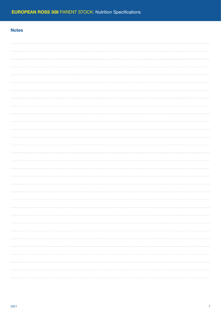## **Notes**